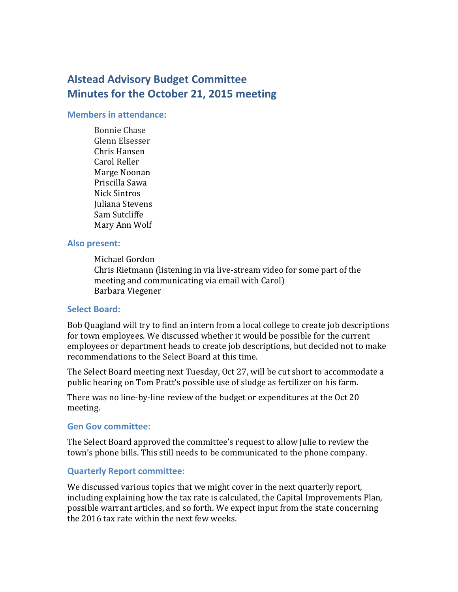# **Alstead Advisory Budget Committee Minutes for the October 21, 2015 meeting**

#### **Members in attendance:**

Bonnie Chase Glenn Elsesser Chris Hansen Carol Reller Marge Noonan Priscilla Sawa Nick Sintros Juliana Stevens Sam Sutcliffe Mary Ann Wolf

### **Also present:**

Michael Gordon Chris Rietmann (listening in via live-stream video for some part of the meeting and communicating via email with Carol) Barbara Viegener

#### **Select Board:**

Bob Quagland will try to find an intern from a local college to create job descriptions for town employees. We discussed whether it would be possible for the current employees or department heads to create job descriptions, but decided not to make recommendations to the Select Board at this time.

The Select Board meeting next Tuesday, Oct 27, will be cut short to accommodate a public hearing on Tom Pratt's possible use of sludge as fertilizer on his farm.

There was no line-by-line review of the budget or expenditures at the Oct 20 meeting.

#### **Gen Gov committee:**

The Select Board approved the committee's request to allow Julie to review the town's phone bills. This still needs to be communicated to the phone company.

#### **Quarterly Report committee:**

We discussed various topics that we might cover in the next quarterly report, including explaining how the tax rate is calculated, the Capital Improvements Plan, possible warrant articles, and so forth. We expect input from the state concerning the 2016 tax rate within the next few weeks.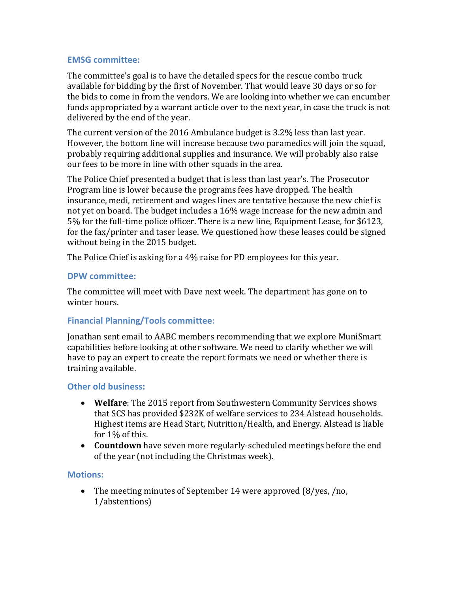## **EMSG committee:**

The committee's goal is to have the detailed specs for the rescue combo truck available for bidding by the first of November. That would leave 30 days or so for the bids to come in from the vendors. We are looking into whether we can encumber funds appropriated by a warrant article over to the next year, in case the truck is not delivered by the end of the year.

The current version of the 2016 Ambulance budget is 3.2% less than last year. However, the bottom line will increase because two paramedics will join the squad, probably requiring additional supplies and insurance. We will probably also raise our fees to be more in line with other squads in the area.

The Police Chief presented a budget that is less than last year's. The Prosecutor Program line is lower because the programs fees have dropped. The health insurance, medi, retirement and wages lines are tentative because the new chief is not yet on board. The budget includes a 16% wage increase for the new admin and 5% for the full-time police officer. There is a new line, Equipment Lease, for \$6123, for the fax/printer and taser lease. We questioned how these leases could be signed without being in the 2015 budget.

The Police Chief is asking for a 4% raise for PD employees for this year.

#### **DPW committee:**

The committee will meet with Dave next week. The department has gone on to winter hours.

## **Financial Planning/Tools committee:**

Jonathan sent email to AABC members recommending that we explore MuniSmart capabilities before looking at other software. We need to clarify whether we will have to pay an expert to create the report formats we need or whether there is training available.

## **Other old business:**

- **Welfare**: The 2015 report from Southwestern Community Services shows that SCS has provided \$232K of welfare services to 234 Alstead households. Highest items are Head Start, Nutrition/Health, and Energy. Alstead is liable for 1% of this.
- **Countdown** have seven more regularly-scheduled meetings before the end of the year (not including the Christmas week).

## **Motions:**

• The meeting minutes of September 14 were approved (8/yes, /no, 1/abstentions)